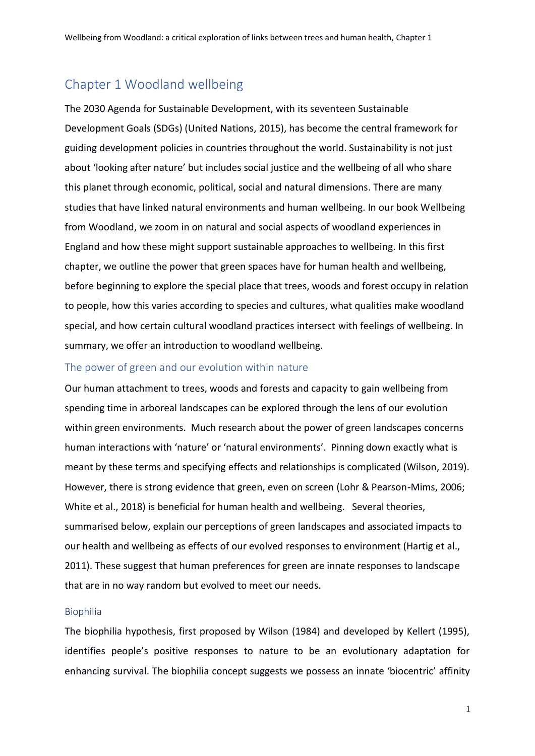# Chapter 1 Woodland wellbeing

The 2030 Agenda for Sustainable Development, with its seventeen Sustainable Development Goals (SDGs) (United Nations, 2015), has become the central framework for guiding development policies in countries throughout the world. Sustainability is not just about 'looking after nature' but includes social justice and the wellbeing of all who share this planet through economic, political, social and natural dimensions. There are many studies that have linked natural environments and human wellbeing. In our book Wellbeing from Woodland, we zoom in on natural and social aspects of woodland experiences in England and how these might support sustainable approaches to wellbeing. In this first chapter, we outline the power that green spaces have for human health and wellbeing, before beginning to explore the special place that trees, woods and forest occupy in relation to people, how this varies according to species and cultures, what qualities make woodland special, and how certain cultural woodland practices intersect with feelings of wellbeing. In summary, we offer an introduction to woodland wellbeing.

# The power of green and our evolution within nature

Our human attachment to trees, woods and forests and capacity to gain wellbeing from spending time in arboreal landscapes can be explored through the lens of our evolution within green environments. Much research about the power of green landscapes concerns human interactions with 'nature' or 'natural environments'. Pinning down exactly what is meant by these terms and specifying effects and relationships is complicated (Wilson, 2019). However, there is strong evidence that green, even on screen (Lohr & Pearson-Mims, 2006; White et al., 2018) is beneficial for human health and wellbeing. Several theories, summarised below, explain our perceptions of green landscapes and associated impacts to our health and wellbeing as effects of our evolved responses to environment (Hartig et al., 2011). These suggest that human preferences for green are innate responses to landscape that are in no way random but evolved to meet our needs.

#### Biophilia

The biophilia hypothesis, first proposed by Wilson (1984) and developed by Kellert (1995), identifies people's positive responses to nature to be an evolutionary adaptation for enhancing survival. The biophilia concept suggests we possess an innate 'biocentric' affinity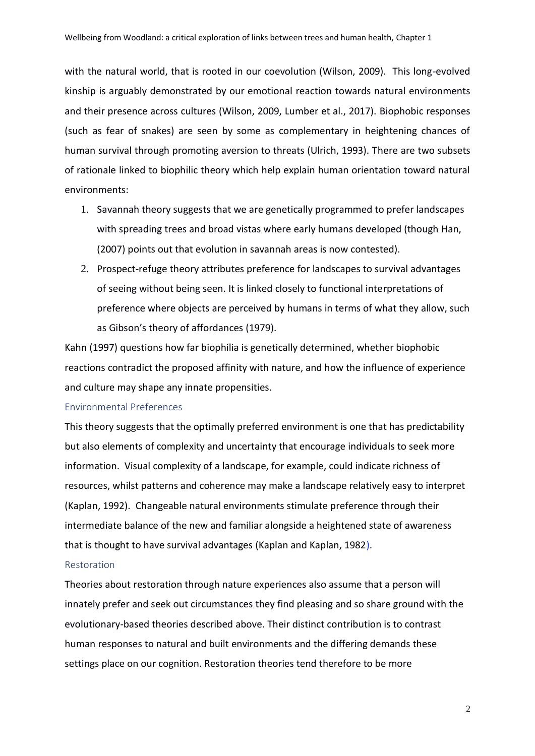with the natural world, that is rooted in our coevolution (Wilson, 2009). This long-evolved kinship is arguably demonstrated by our emotional reaction towards natural environments and their presence across cultures (Wilson, 2009, Lumber et al., 2017). Biophobic responses (such as fear of snakes) are seen by some as complementary in heightening chances of human survival through promoting aversion to threats (Ulrich, 1993). There are two subsets of rationale linked to biophilic theory which help explain human orientation toward natural environments:

- 1. Savannah theory suggests that we are genetically programmed to prefer landscapes with spreading trees and broad vistas where early humans developed (though Han, (2007) points out that evolution in savannah areas is now contested).
- 2. Prospect-refuge theory attributes preference for landscapes to survival advantages of seeing without being seen. It is linked closely to functional interpretations of preference where objects are perceived by humans in terms of what they allow, such as Gibson's theory of affordances (1979).

Kahn (1997) questions how far biophilia is genetically determined, whether biophobic reactions contradict the proposed affinity with nature, and how the influence of experience and culture may shape any innate propensities.

# Environmental Preferences

This theory suggests that the optimally preferred environment is one that has predictability but also elements of complexity and uncertainty that encourage individuals to seek more information. Visual complexity of a landscape, for example, could indicate richness of resources, whilst patterns and coherence may make a landscape relatively easy to interpret (Kaplan, 1992). Changeable natural environments stimulate preference through their intermediate balance of the new and familiar alongside a heightened state of awareness that is thought to have survival advantages (Kaplan and Kaplan, 1982).

## Restoration

Theories about restoration through nature experiences also assume that a person will innately prefer and seek out circumstances they find pleasing and so share ground with the evolutionary-based theories described above. Their distinct contribution is to contrast human responses to natural and built environments and the differing demands these settings place on our cognition. Restoration theories tend therefore to be more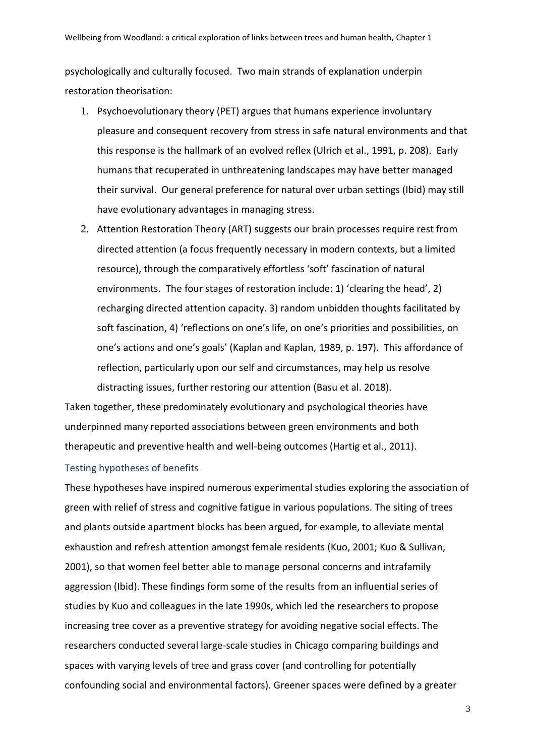psychologically and culturally focused. Two main strands of explanation underpin restoration theorisation:

- 1. Psychoevolutionary theory (PET) argues that humans experience involuntary pleasure and consequent recovery from stress in safe natural environments and that this response is the hallmark of an evolved reflex (Ulrich et al., 1991, p. 208). Early humans that recuperated in unthreatening landscapes may have better managed their survival. Our general preference for natural over urban settings (Ibid) may still have evolutionary advantages in managing stress.
- 2. Attention Restoration Theory (ART) suggests our brain processes require rest from directed attention (a focus frequently necessary in modern contexts, but a limited resource), through the comparatively effortless 'soft' fascination of natural environments. The four stages of restoration include: 1) 'clearing the head', 2) recharging directed attention capacity. 3) random unbidden thoughts facilitated by soft fascination, 4) 'reflections on one's life, on one's priorities and possibilities, on one's actions and one's goals' (Kaplan and Kaplan, 1989, p. 197). This affordance of reflection, particularly upon our self and circumstances, may help us resolve distracting issues, further restoring our attention (Basu et al. 2018).

Taken together, these predominately evolutionary and psychological theories have underpinned many reported associations between green environments and both therapeutic and preventive health and well-being outcomes (Hartig et al., 2011).

#### Testing hypotheses of benefits

These hypotheses have inspired numerous experimental studies exploring the association of green with relief of stress and cognitive fatigue in various populations. The siting of trees and plants outside apartment blocks has been argued, for example, to alleviate mental exhaustion and refresh attention amongst female residents (Kuo, 2001; Kuo & Sullivan, 2001), so that women feel better able to manage personal concerns and intrafamily aggression (Ibid). These findings form some of the results from an influential series of studies by Kuo and colleagues in the late 1990s, which led the researchers to propose increasing tree cover as a preventive strategy for avoiding negative social effects. The researchers conducted several large-scale studies in Chicago comparing buildings and spaces with varying levels of tree and grass cover (and controlling for potentially confounding social and environmental factors). Greener spaces were defined by a greater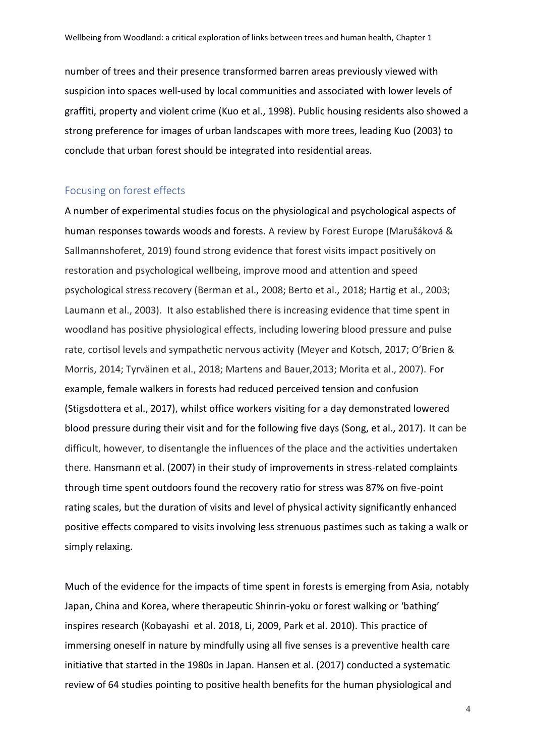number of trees and their presence transformed barren areas previously viewed with suspicion into spaces well-used by local communities and associated with lower levels of graffiti, property and violent crime (Kuo et al., 1998). Public housing residents also showed a strong preference for images of urban landscapes with more trees, leading Kuo (2003) to conclude that urban forest should be integrated into residential areas.

## Focusing on forest effects

A number of experimental studies focus on the physiological and psychological aspects of human responses towards woods and forests. A review by Forest Europe (Marušáková & Sallmannshoferet, 2019) found strong evidence that forest visits impact positively on restoration and psychological wellbeing, improve mood and attention and speed psychological stress recovery (Berman et al., 2008; Berto et al., 2018; Hartig et al., 2003; Laumann et al., 2003). It also established there is increasing evidence that time spent in woodland has positive physiological effects, including lowering blood pressure and pulse rate, cortisol levels and sympathetic nervous activity (Meyer and Kotsch, 2017; O'Brien & Morris, 2014; Tyrväinen et al., 2018; Martens and Bauer,2013; Morita et al., 2007). For example, female walkers in forests had reduced perceived tension and confusion (Stigsdottera et al., 2017), whilst office workers visiting for a day demonstrated lowered blood pressure during their visit and for the following five days (Song, et al., 2017). It can be difficult, however, to disentangle the influences of the place and the activities undertaken there. Hansmann et al. (2007) in their study of improvements in stress-related complaints through time spent outdoors found the recovery ratio for stress was 87% on five-point rating scales, but the duration of visits and level of physical activity significantly enhanced positive effects compared to visits involving less strenuous pastimes such as taking a walk or simply relaxing.

Much of the evidence for the impacts of time spent in forests is emerging from Asia, notably Japan, China and Korea, where therapeutic Shinrin-yoku or forest walking or 'bathing' inspires research (Kobayashi et al. 2018, Li, 2009, Park et al. 2010). This practice of immersing oneself in nature by mindfully using all five senses is a preventive health care initiative that started in the 1980s in Japan. Hansen et al. (2017) conducted a systematic review of 64 studies pointing to positive health benefits for the human physiological and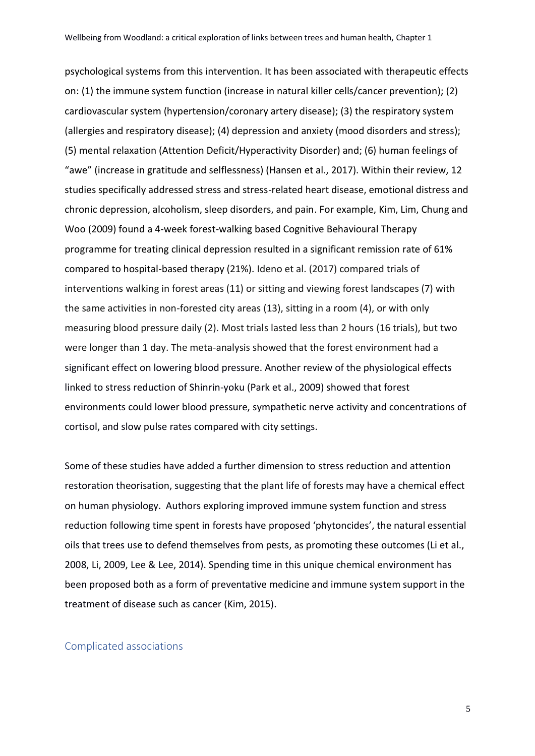psychological systems from this intervention. It has been associated with therapeutic effects on: (1) the immune system function (increase in natural killer cells/cancer prevention); (2) cardiovascular system (hypertension/coronary artery disease); (3) the respiratory system (allergies and respiratory disease); (4) depression and anxiety (mood disorders and stress); (5) mental relaxation (Attention Deficit/Hyperactivity Disorder) and; (6) human feelings of "awe" (increase in gratitude and selflessness) (Hansen et al., 2017). Within their review, 12 studies specifically addressed stress and stress-related heart disease, emotional distress and chronic depression, alcoholism, sleep disorders, and pain. For example, Kim, Lim, Chung and Woo (2009) found a 4-week forest-walking based Cognitive Behavioural Therapy programme for treating clinical depression resulted in a significant remission rate of 61% compared to hospital-based therapy (21%). Ideno et al. (2017) compared trials of interventions walking in forest areas (11) or sitting and viewing forest landscapes (7) with the same activities in non-forested city areas (13), sitting in a room (4), or with only measuring blood pressure daily (2). Most trials lasted less than 2 hours (16 trials), but two were longer than 1 day. The meta-analysis showed that the forest environment had a significant effect on lowering blood pressure. Another review of the physiological effects linked to stress reduction of Shinrin-yoku (Park et al., 2009) showed that forest environments could lower blood pressure, sympathetic nerve activity and concentrations of cortisol, and slow pulse rates compared with city settings.

Some of these studies have added a further dimension to stress reduction and attention restoration theorisation, suggesting that the plant life of forests may have a chemical effect on human physiology. Authors exploring improved immune system function and stress reduction following time spent in forests have proposed 'phytoncides', the natural essential oils that trees use to defend themselves from pests, as promoting these outcomes (Li et al., 2008, Li, 2009, Lee & Lee, 2014). Spending time in this unique chemical environment has been proposed both as a form of preventative medicine and immune system support in the treatment of disease such as cancer (Kim, 2015).

## Complicated associations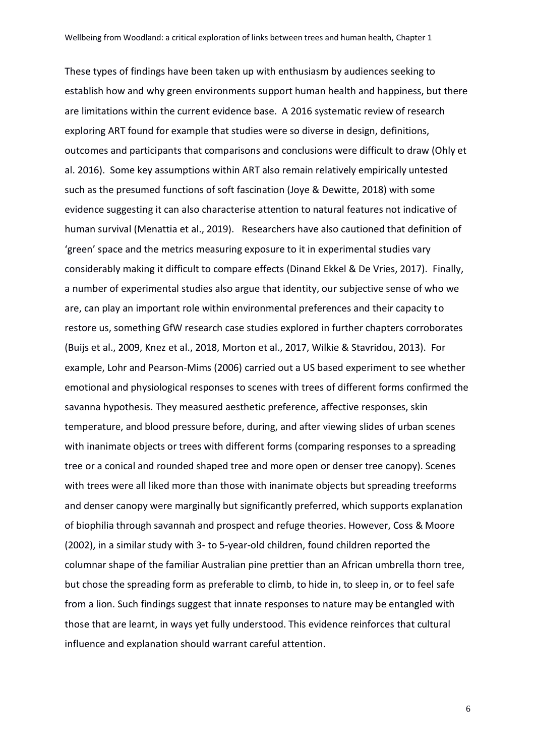These types of findings have been taken up with enthusiasm by audiences seeking to establish how and why green environments support human health and happiness, but there are limitations within the current evidence base. A 2016 systematic review of research exploring ART found for example that studies were so diverse in design, definitions, outcomes and participants that comparisons and conclusions were difficult to draw (Ohly et al. 2016). Some key assumptions within ART also remain relatively empirically untested such as the presumed functions of soft fascination (Joye & Dewitte, 2018) with some evidence suggesting it can also characterise attention to natural features not indicative of human survival (Menattia et al., 2019). Researchers have also cautioned that definition of 'green' space and the metrics measuring exposure to it in experimental studies vary considerably making it difficult to compare effects (Dinand Ekkel & De Vries, 2017). Finally, a number of experimental studies also argue that identity, our subjective sense of who we are, can play an important role within environmental preferences and their capacity to restore us, something GfW research case studies explored in further chapters corroborates (Buijs et al., 2009, Knez et al., 2018, Morton et al., 2017, Wilkie & Stavridou, 2013). For example, Lohr and Pearson-Mims (2006) carried out a US based experiment to see whether emotional and physiological responses to scenes with trees of different forms confirmed the savanna hypothesis. They measured aesthetic preference, affective responses, skin temperature, and blood pressure before, during, and after viewing slides of urban scenes with inanimate objects or trees with different forms (comparing responses to a spreading tree or a conical and rounded shaped tree and more open or denser tree canopy). Scenes with trees were all liked more than those with inanimate objects but spreading treeforms and denser canopy were marginally but significantly preferred, which supports explanation of biophilia through savannah and prospect and refuge theories. However, Coss & Moore (2002), in a similar study with 3- to 5-year-old children, found children reported the columnar shape of the familiar Australian pine prettier than an African umbrella thorn tree, but chose the spreading form as preferable to climb, to hide in, to sleep in, or to feel safe from a lion. Such findings suggest that innate responses to nature may be entangled with those that are learnt, in ways yet fully understood. This evidence reinforces that cultural influence and explanation should warrant careful attention.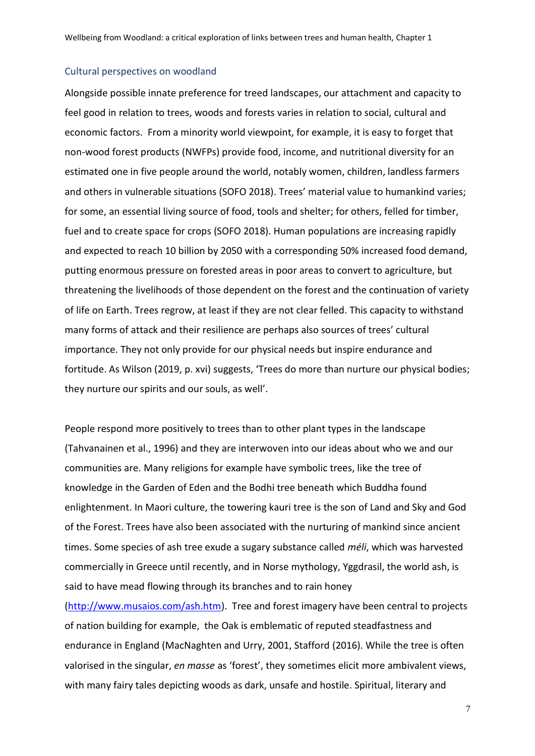#### Cultural perspectives on woodland

Alongside possible innate preference for treed landscapes, our attachment and capacity to feel good in relation to trees, woods and forests varies in relation to social, cultural and economic factors. From a minority world viewpoint, for example, it is easy to forget that non-wood forest products (NWFPs) provide food, income, and nutritional diversity for an estimated one in five people around the world, notably women, children, landless farmers and others in vulnerable situations (SOFO 2018). Trees' material value to humankind varies; for some, an essential living source of food, tools and shelter; for others, felled for timber, fuel and to create space for crops (SOFO 2018). Human populations are increasing rapidly and expected to reach 10 billion by 2050 with a corresponding 50% increased food demand, putting enormous pressure on forested areas in poor areas to convert to agriculture, but threatening the livelihoods of those dependent on the forest and the continuation of variety of life on Earth. Trees regrow, at least if they are not clear felled. This capacity to withstand many forms of attack and their resilience are perhaps also sources of trees' cultural importance. They not only provide for our physical needs but inspire endurance and fortitude. As Wilson (2019, p. xvi) suggests, 'Trees do more than nurture our physical bodies; they nurture our spirits and our souls, as well'.

People respond more positively to trees than to other plant types in the landscape (Tahvanainen et al., 1996) and they are interwoven into our ideas about who we and our communities are. Many religions for example have symbolic trees, like the tree of knowledge in the Garden of Eden and the Bodhi tree beneath which Buddha found enlightenment. In Maori culture, the towering kauri tree is the son of Land and Sky and God of the Forest. Trees have also been associated with the nurturing of mankind since ancient times. Some species of ash tree exude a sugary substance called *méli*, which was harvested commercially in Greece until recently, and in Norse mythology, Yggdrasil, the world ash, is said to have mead flowing through its branches and to rain honey

[\(http://www.musaios.com/ash.htm\)](http://www.musaios.com/ash.htm). Tree and forest imagery have been central to projects of nation building for example, the Oak is emblematic of reputed steadfastness and endurance in England (MacNaghten and Urry, 2001, Stafford (2016). While the tree is often valorised in the singular, *en masse* as 'forest', they sometimes elicit more ambivalent views, with many fairy tales depicting woods as dark, unsafe and hostile. Spiritual, literary and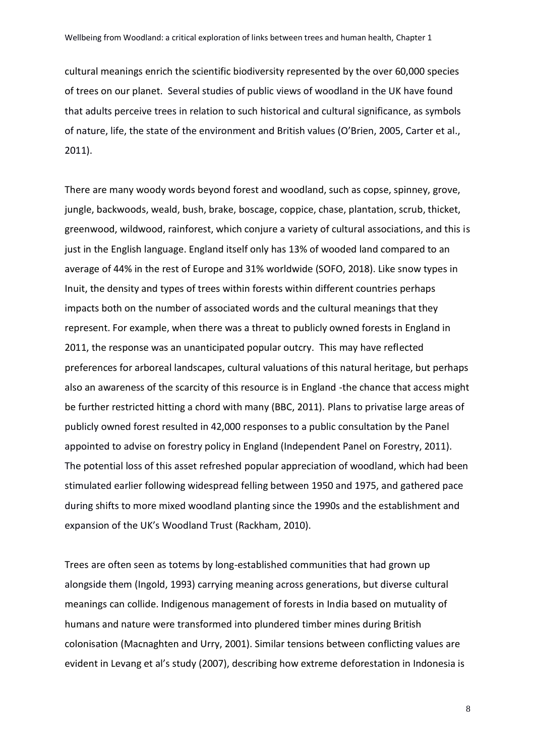cultural meanings enrich the scientific biodiversity represented by the over 60,000 species of trees on our planet. Several studies of public views of woodland in the UK have found that adults perceive trees in relation to such historical and cultural significance, as symbols of nature, life, the state of the environment and British values (O'Brien, 2005, Carter et al., 2011).

There are many woody words beyond forest and woodland, such as copse, spinney, grove, jungle, backwoods, weald, bush, brake, boscage, coppice, chase, plantation, scrub, thicket, greenwood, wildwood, rainforest, which conjure a variety of cultural associations, and this is just in the English language. England itself only has 13% of wooded land compared to an average of 44% in the rest of Europe and 31% worldwide (SOFO, 2018). Like snow types in Inuit, the density and types of trees within forests within different countries perhaps impacts both on the number of associated words and the cultural meanings that they represent. For example, when there was a threat to publicly owned forests in England in 2011, the response was an unanticipated popular outcry. This may have reflected preferences for arboreal landscapes, cultural valuations of this natural heritage, but perhaps also an awareness of the scarcity of this resource is in England -the chance that access might be further restricted hitting a chord with many (BBC, 2011). Plans to privatise large areas of publicly owned forest resulted in 42,000 responses to a public consultation by the Panel appointed to advise on forestry policy in England (Independent Panel on Forestry, 2011). The potential loss of this asset refreshed popular appreciation of woodland, which had been stimulated earlier following widespread felling between 1950 and 1975, and gathered pace during shifts to more mixed woodland planting since the 1990s and the establishment and expansion of the UK's Woodland Trust (Rackham, 2010).

Trees are often seen as totems by long-established communities that had grown up alongside them (Ingold, 1993) carrying meaning across generations, but diverse cultural meanings can collide. Indigenous management of forests in India based on mutuality of humans and nature were transformed into plundered timber mines during British colonisation (Macnaghten and Urry, 2001). Similar tensions between conflicting values are evident in Levang et al's study (2007), describing how extreme deforestation in Indonesia is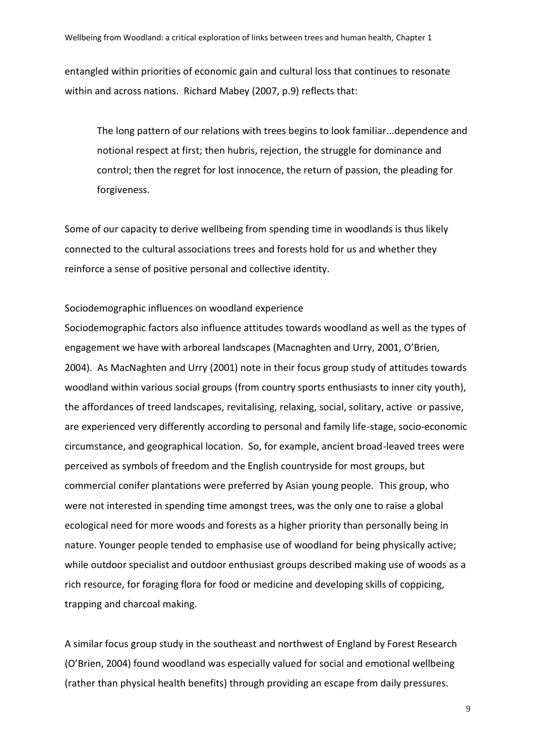entangled within priorities of economic gain and cultural loss that continues to resonate within and across nations. Richard Mabey (2007, p.9) reflects that:

The long pattern of our relations with trees begins to look familiar...dependence and notional respect at first; then hubris, rejection, the struggle for dominance and control; then the regret for lost innocence, the return of passion, the pleading for forgiveness.

Some of our capacity to derive wellbeing from spending time in woodlands is thus likely connected to the cultural associations trees and forests hold for us and whether they reinforce a sense of positive personal and collective identity.

#### Sociodemographic influences on woodland experience

Sociodemographic factors also influence attitudes towards woodland as well as the types of engagement we have with arboreal landscapes (Macnaghten and Urry, 2001, O'Brien, 2004). As MacNaghten and Urry (2001) note in their focus group study of attitudes towards woodland within various social groups (from country sports enthusiasts to inner city youth), the affordances of treed landscapes, revitalising, relaxing, social, solitary, active or passive, are experienced very differently according to personal and family life-stage, socio-economic circumstance, and geographical location. So, for example, ancient broad-leaved trees were perceived as symbols of freedom and the English countryside for most groups, but commercial conifer plantations were preferred by Asian young people. This group, who were not interested in spending time amongst trees, was the only one to raise a global ecological need for more woods and forests as a higher priority than personally being in nature. Younger people tended to emphasise use of woodland for being physically active; while outdoor specialist and outdoor enthusiast groups described making use of woods as a rich resource, for foraging flora for food or medicine and developing skills of coppicing, trapping and charcoal making.

A similar focus group study in the southeast and northwest of England by Forest Research (O'Brien, 2004) found woodland was especially valued for social and emotional wellbeing (rather than physical health benefits) through providing an escape from daily pressures.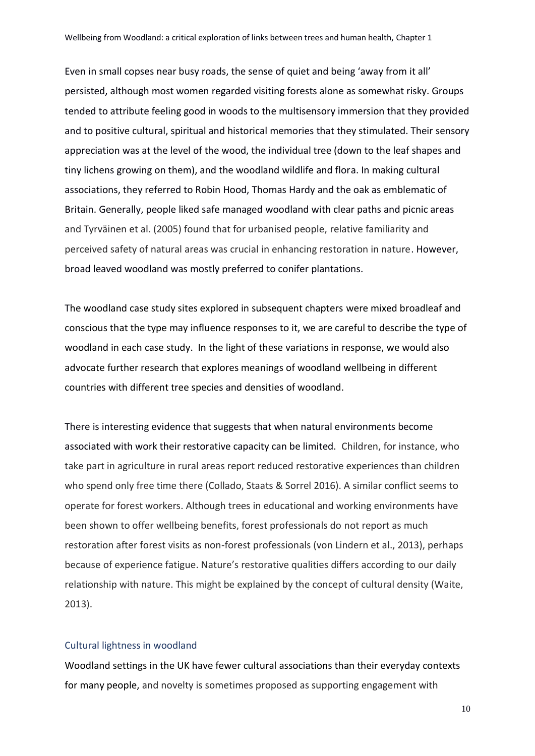Even in small copses near busy roads, the sense of quiet and being 'away from it all' persisted, although most women regarded visiting forests alone as somewhat risky. Groups tended to attribute feeling good in woods to the multisensory immersion that they provided and to positive cultural, spiritual and historical memories that they stimulated. Their sensory appreciation was at the level of the wood, the individual tree (down to the leaf shapes and tiny lichens growing on them), and the woodland wildlife and flora. In making cultural associations, they referred to Robin Hood, Thomas Hardy and the oak as emblematic of Britain. Generally, people liked safe managed woodland with clear paths and picnic areas and Tyrväinen et al. (2005) found that for urbanised people, relative familiarity and perceived safety of natural areas was crucial in enhancing restoration in nature. However, broad leaved woodland was mostly preferred to conifer plantations.

The woodland case study sites explored in subsequent chapters were mixed broadleaf and conscious that the type may influence responses to it, we are careful to describe the type of woodland in each case study. In the light of these variations in response, we would also advocate further research that explores meanings of woodland wellbeing in different countries with different tree species and densities of woodland.

There is interesting evidence that suggests that when natural environments become associated with work their restorative capacity can be limited. Children, for instance, who take part in agriculture in rural areas report reduced restorative experiences than children who spend only free time there (Collado, Staats & Sorrel 2016). A similar conflict seems to operate for forest workers. Although trees in educational and working environments have been shown to offer wellbeing benefits, forest professionals do not report as much restoration after forest visits as non-forest professionals (von Lindern et al., 2013), perhaps because of experience fatigue. Nature's restorative qualities differs according to our daily relationship with nature. This might be explained by the concept of cultural density (Waite, 2013).

## Cultural lightness in woodland

Woodland settings in the UK have fewer cultural associations than their everyday contexts for many people, and novelty is sometimes proposed as supporting engagement with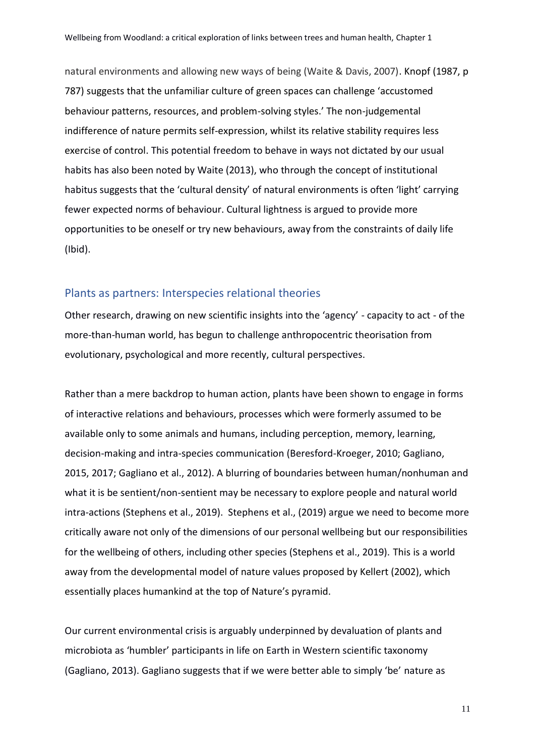natural environments and allowing new ways of being (Waite & Davis, 2007). Knopf (1987, p 787) suggests that the unfamiliar culture of green spaces can challenge 'accustomed behaviour patterns, resources, and problem-solving styles.' The non-judgemental indifference of nature permits self-expression, whilst its relative stability requires less exercise of control. This potential freedom to behave in ways not dictated by our usual habits has also been noted by Waite (2013), who through the concept of institutional habitus suggests that the 'cultural density' of natural environments is often 'light' carrying fewer expected norms of behaviour. Cultural lightness is argued to provide more opportunities to be oneself or try new behaviours, away from the constraints of daily life (Ibid).

# Plants as partners: Interspecies relational theories

Other research, drawing on new scientific insights into the 'agency' - capacity to act - of the more-than-human world, has begun to challenge anthropocentric theorisation from evolutionary, psychological and more recently, cultural perspectives.

Rather than a mere backdrop to human action, plants have been shown to engage in forms of interactive relations and behaviours, processes which were formerly assumed to be available only to some animals and humans, including perception, memory, learning, decision-making and intra-species communication (Beresford-Kroeger, 2010; Gagliano, 2015, 2017; Gagliano et al., 2012). A blurring of boundaries between human/nonhuman and what it is be sentient/non-sentient may be necessary to explore people and natural world intra-actions (Stephens et al., 2019). Stephens et al., (2019) argue we need to become more critically aware not only of the dimensions of our personal wellbeing but our responsibilities for the wellbeing of others, including other species (Stephens et al., 2019). This is a world away from the developmental model of nature values proposed by Kellert (2002), which essentially places humankind at the top of Nature's pyramid.

Our current environmental crisis is arguably underpinned by devaluation of plants and microbiota as 'humbler' participants in life on Earth in Western scientific taxonomy (Gagliano, 2013). Gagliano suggests that if we were better able to simply 'be' nature as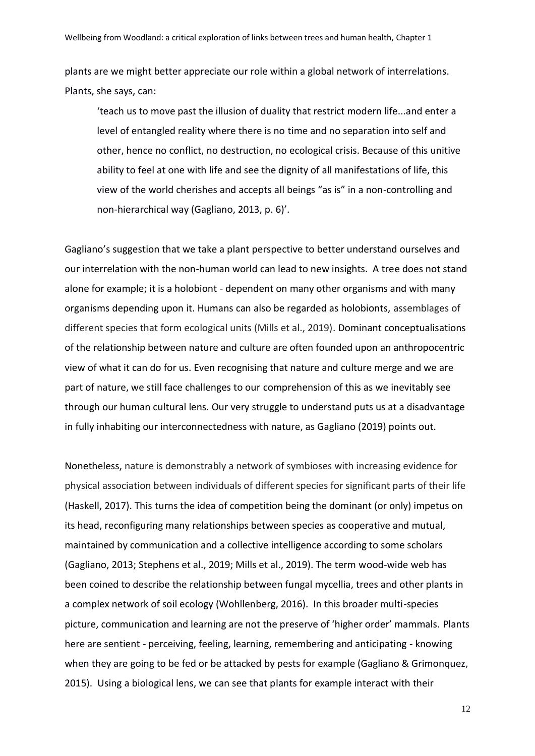plants are we might better appreciate our role within a global network of interrelations. Plants, she says, can:

'teach us to move past the illusion of duality that restrict modern life...and enter a level of entangled reality where there is no time and no separation into self and other, hence no conflict, no destruction, no ecological crisis. Because of this unitive ability to feel at one with life and see the dignity of all manifestations of life, this view of the world cherishes and accepts all beings "as is" in a non-controlling and non-hierarchical way (Gagliano, 2013, p. 6)'.

Gagliano's suggestion that we take a plant perspective to better understand ourselves and our interrelation with the non-human world can lead to new insights. A tree does not stand alone for example; it is a holobiont - dependent on many other organisms and with many organisms depending upon it. Humans can also be regarded as holobionts, assemblages of different species that form ecological units (Mills et al., 2019). Dominant conceptualisations of the relationship between nature and culture are often founded upon an anthropocentric view of what it can do for us. Even recognising that nature and culture merge and we are part of nature, we still face challenges to our comprehension of this as we inevitably see through our human cultural lens. Our very struggle to understand puts us at a disadvantage in fully inhabiting our interconnectedness with nature, as Gagliano (2019) points out.

Nonetheless, nature is demonstrably a network of symbioses with increasing evidence for physical association between individuals of different species for significant parts of their life (Haskell, 2017). This turns the idea of competition being the dominant (or only) impetus on its head, reconfiguring many relationships between species as cooperative and mutual, maintained by communication and a collective intelligence according to some scholars (Gagliano, 2013; Stephens et al., 2019; Mills et al., 2019). The term wood-wide web has been coined to describe the relationship between fungal mycellia, trees and other plants in a complex network of soil ecology (Wohllenberg, 2016). In this broader multi-species picture, communication and learning are not the preserve of 'higher order' mammals. Plants here are sentient - perceiving, feeling, learning, remembering and anticipating - knowing when they are going to be fed or be attacked by pests for example (Gagliano & Grimonquez, 2015). Using a biological lens, we can see that plants for example interact with their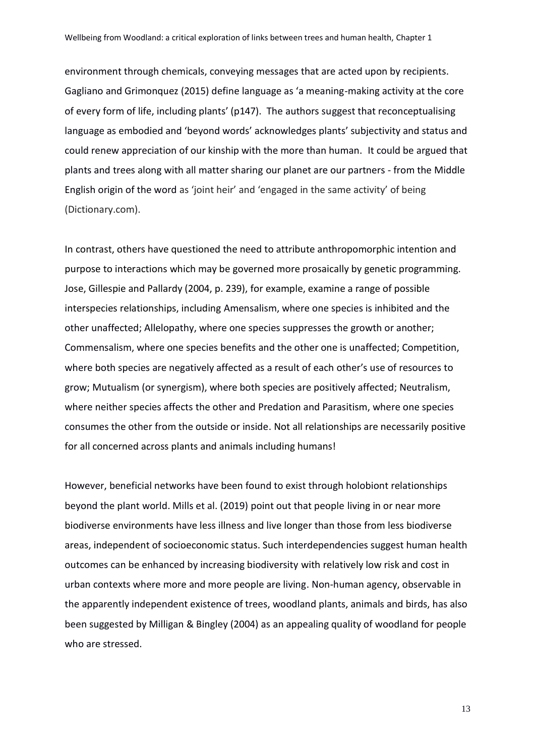environment through chemicals, conveying messages that are acted upon by recipients. Gagliano and Grimonquez (2015) define language as 'a meaning-making activity at the core of every form of life, including plants' (p147). The authors suggest that reconceptualising language as embodied and 'beyond words' acknowledges plants' subjectivity and status and could renew appreciation of our kinship with the more than human. It could be argued that plants and trees along with all matter sharing our planet are our partners - from the Middle English origin of the word as 'joint heir' and 'engaged in the same activity' of being (Dictionary.com).

In contrast, others have questioned the need to attribute anthropomorphic intention and purpose to interactions which may be governed more prosaically by genetic programming. Jose, Gillespie and Pallardy (2004, p. 239), for example, examine a range of possible interspecies relationships, including Amensalism, where one species is inhibited and the other unaffected; Allelopathy, where one species suppresses the growth or another; Commensalism, where one species benefits and the other one is unaffected; Competition, where both species are negatively affected as a result of each other's use of resources to grow; Mutualism (or synergism), where both species are positively affected; Neutralism, where neither species affects the other and Predation and Parasitism, where one species consumes the other from the outside or inside. Not all relationships are necessarily positive for all concerned across plants and animals including humans!

However, beneficial networks have been found to exist through holobiont relationships beyond the plant world. Mills et al. (2019) point out that people living in or near more biodiverse environments have less illness and live longer than those from less biodiverse areas, independent of socioeconomic status. Such interdependencies suggest human health outcomes can be enhanced by increasing biodiversity with relatively low risk and cost in urban contexts where more and more people are living. Non-human agency, observable in the apparently independent existence of trees, woodland plants, animals and birds, has also been suggested by Milligan & Bingley (2004) as an appealing quality of woodland for people who are stressed.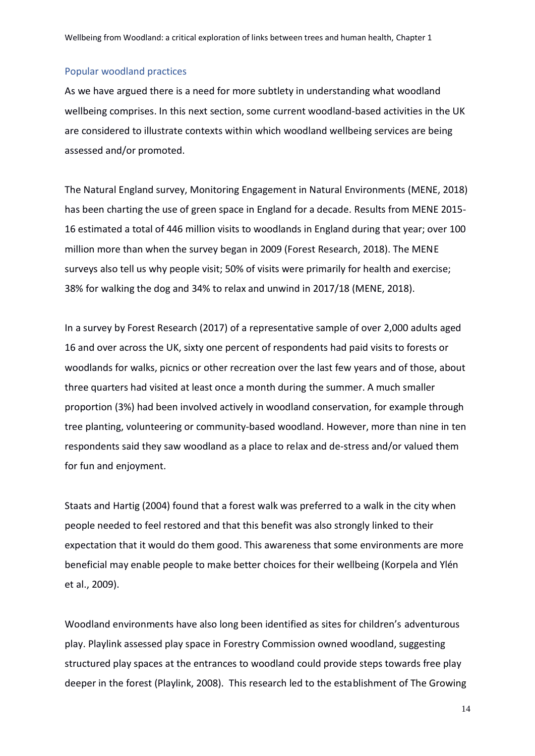## Popular woodland practices

As we have argued there is a need for more subtlety in understanding what woodland wellbeing comprises. In this next section, some current woodland-based activities in the UK are considered to illustrate contexts within which woodland wellbeing services are being assessed and/or promoted.

The Natural England survey, Monitoring Engagement in Natural Environments (MENE, 2018) has been charting the use of green space in England for a decade. Results from MENE 2015- 16 estimated a total of 446 million visits to woodlands in England during that year; over 100 million more than when the survey began in 2009 (Forest Research, 2018). The MENE surveys also tell us why people visit; 50% of visits were primarily for health and exercise; 38% for walking the dog and 34% to relax and unwind in 2017/18 (MENE, 2018).

In a survey by Forest Research (2017) of a representative sample of over 2,000 adults aged 16 and over across the UK, sixty one percent of respondents had paid visits to forests or woodlands for walks, picnics or other recreation over the last few years and of those, about three quarters had visited at least once a month during the summer. A much smaller proportion (3%) had been involved actively in woodland conservation, for example through tree planting, volunteering or community-based woodland. However, more than nine in ten respondents said they saw woodland as a place to relax and de-stress and/or valued them for fun and enjoyment.

Staats and Hartig (2004) found that a forest walk was preferred to a walk in the city when people needed to feel restored and that this benefit was also strongly linked to their expectation that it would do them good. This awareness that some environments are more beneficial may enable people to make better choices for their wellbeing (Korpela and Ylén et al., 2009).

Woodland environments have also long been identified as sites for children's adventurous play. Playlink assessed play space in Forestry Commission owned woodland, suggesting structured play spaces at the entrances to woodland could provide steps towards free play deeper in the forest (Playlink, 2008). This research led to the establishment of The Growing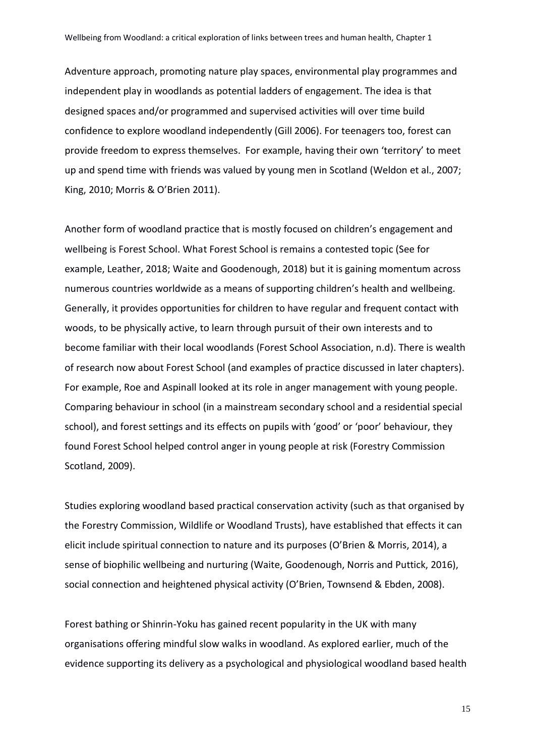Adventure approach, promoting nature play spaces, environmental play programmes and independent play in woodlands as potential ladders of engagement. The idea is that designed spaces and/or programmed and supervised activities will over time build confidence to explore woodland independently (Gill 2006). For teenagers too, forest can provide freedom to express themselves. For example, having their own 'territory' to meet up and spend time with friends was valued by young men in Scotland (Weldon et al., 2007; King, 2010; Morris & O'Brien 2011).

Another form of woodland practice that is mostly focused on children's engagement and wellbeing is Forest School. What Forest School is remains a contested topic (See for example, Leather, 2018; Waite and Goodenough, 2018) but it is gaining momentum across numerous countries worldwide as a means of supporting children's health and wellbeing. Generally, it provides opportunities for children to have regular and frequent contact with woods, to be physically active, to learn through pursuit of their own interests and to become familiar with their local woodlands (Forest School Association, n.d). There is wealth of research now about Forest School (and examples of practice discussed in later chapters). For example, Roe and Aspinall looked at its role in anger management with young people. Comparing behaviour in school (in a mainstream secondary school and a residential special school), and forest settings and its effects on pupils with 'good' or 'poor' behaviour, they found Forest School helped control anger in young people at risk (Forestry Commission Scotland, 2009).

Studies exploring woodland based practical conservation activity (such as that organised by the Forestry Commission, Wildlife or Woodland Trusts), have established that effects it can elicit include spiritual connection to nature and its purposes (O'Brien & Morris, 2014), a sense of biophilic wellbeing and nurturing (Waite, Goodenough, Norris and Puttick, 2016), social connection and heightened physical activity (O'Brien, Townsend & Ebden, 2008).

Forest bathing or Shinrin-Yoku has gained recent popularity in the UK with many organisations offering mindful slow walks in woodland. As explored earlier, much of the evidence supporting its delivery as a psychological and physiological woodland based health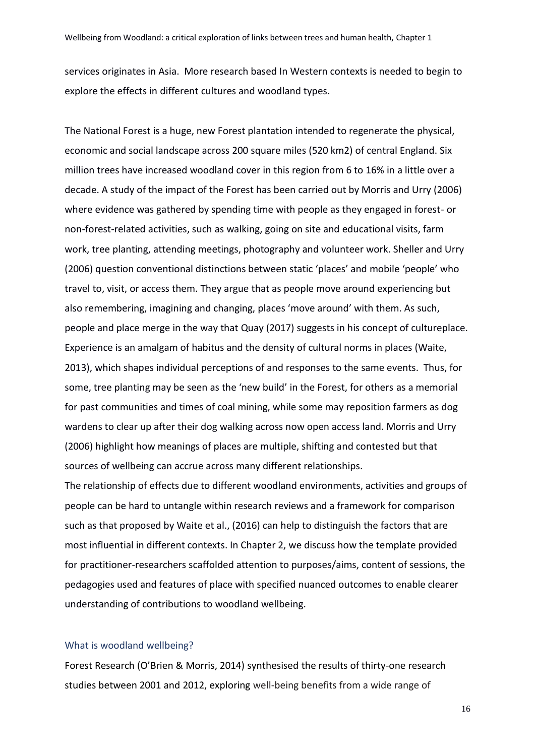services originates in Asia. More research based In Western contexts is needed to begin to explore the effects in different cultures and woodland types.

The National Forest is a huge, new Forest plantation intended to regenerate the physical, economic and social landscape across 200 square miles (520 km2) of central England. Six million trees have increased woodland cover in this region from 6 to 16% in a little over a decade. A study of the impact of the Forest has been carried out by Morris and Urry (2006) where evidence was gathered by spending time with people as they engaged in forest- or non-forest-related activities, such as walking, going on site and educational visits, farm work, tree planting, attending meetings, photography and volunteer work. Sheller and Urry (2006) question conventional distinctions between static 'places' and mobile 'people' who travel to, visit, or access them. They argue that as people move around experiencing but also remembering, imagining and changing, places 'move around' with them. As such, people and place merge in the way that Quay (2017) suggests in his concept of cultureplace. Experience is an amalgam of habitus and the density of cultural norms in places (Waite, 2013), which shapes individual perceptions of and responses to the same events. Thus, for some, tree planting may be seen as the 'new build' in the Forest, for others as a memorial for past communities and times of coal mining, while some may reposition farmers as dog wardens to clear up after their dog walking across now open access land. Morris and Urry (2006) highlight how meanings of places are multiple, shifting and contested but that sources of wellbeing can accrue across many different relationships.

The relationship of effects due to different woodland environments, activities and groups of people can be hard to untangle within research reviews and a framework for comparison such as that proposed by Waite et al., (2016) can help to distinguish the factors that are most influential in different contexts. In Chapter 2, we discuss how the template provided for practitioner-researchers scaffolded attention to purposes/aims, content of sessions, the pedagogies used and features of place with specified nuanced outcomes to enable clearer understanding of contributions to woodland wellbeing.

## What is woodland wellbeing?

Forest Research (O'Brien & Morris, 2014) synthesised the results of thirty-one research studies between 2001 and 2012, exploring well-being benefits from a wide range of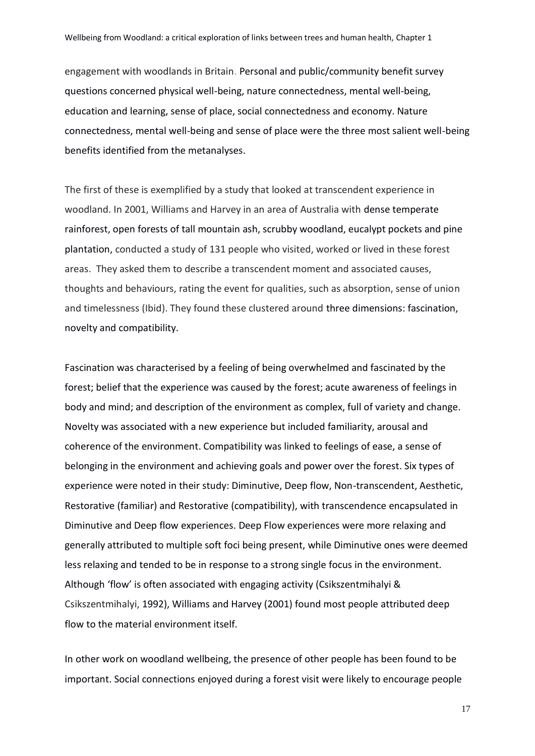engagement with woodlands in Britain. Personal and public/community benefit survey questions concerned physical well-being, nature connectedness, mental well-being, education and learning, sense of place, social connectedness and economy. Nature connectedness, mental well-being and sense of place were the three most salient well-being benefits identified from the metanalyses.

The first of these is exemplified by a study that looked at transcendent experience in woodland. In 2001, Williams and Harvey in an area of Australia with dense temperate rainforest, open forests of tall mountain ash, scrubby woodland, eucalypt pockets and pine plantation, conducted a study of 131 people who visited, worked or lived in these forest areas. They asked them to describe a transcendent moment and associated causes, thoughts and behaviours, rating the event for qualities, such as absorption, sense of union and timelessness (Ibid). They found these clustered around three dimensions: fascination, novelty and compatibility.

Fascination was characterised by a feeling of being overwhelmed and fascinated by the forest; belief that the experience was caused by the forest; acute awareness of feelings in body and mind; and description of the environment as complex, full of variety and change. Novelty was associated with a new experience but included familiarity, arousal and coherence of the environment. Compatibility was linked to feelings of ease, a sense of belonging in the environment and achieving goals and power over the forest. Six types of experience were noted in their study: Diminutive, Deep flow, Non-transcendent, Aesthetic, Restorative (familiar) and Restorative (compatibility), with transcendence encapsulated in Diminutive and Deep flow experiences. Deep Flow experiences were more relaxing and generally attributed to multiple soft foci being present, while Diminutive ones were deemed less relaxing and tended to be in response to a strong single focus in the environment. Although 'flow' is often associated with engaging activity (Csikszentmihalyi & Csikszentmihalyi, 1992), Williams and Harvey (2001) found most people attributed deep flow to the material environment itself.

In other work on woodland wellbeing, the presence of other people has been found to be important. Social connections enjoyed during a forest visit were likely to encourage people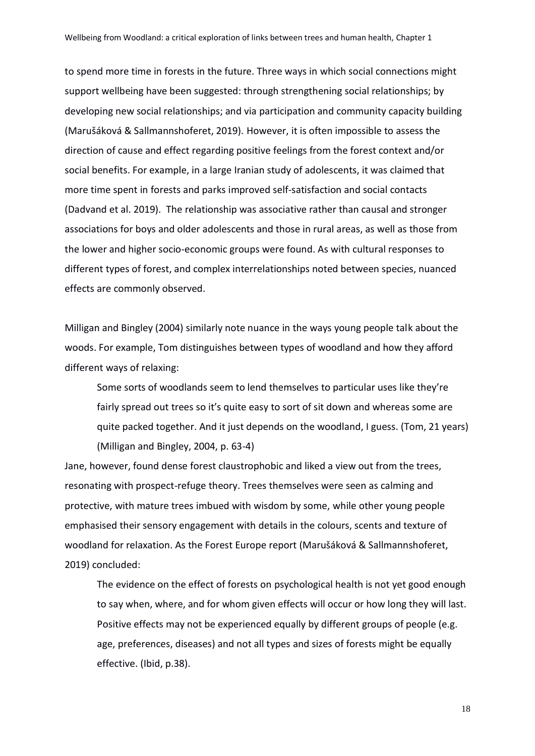to spend more time in forests in the future. Three ways in which social connections might support wellbeing have been suggested: through strengthening social relationships; by developing new social relationships; and via participation and community capacity building (Marušáková & Sallmannshoferet, 2019). However, it is often impossible to assess the direction of cause and effect regarding positive feelings from the forest context and/or social benefits. For example, in a large Iranian study of adolescents, it was claimed that more time spent in forests and parks improved self-satisfaction and social contacts (Dadvand et al. 2019). The relationship was associative rather than causal and stronger associations for boys and older adolescents and those in rural areas, as well as those from the lower and higher socio-economic groups were found. As with cultural responses to different types of forest, and complex interrelationships noted between species, nuanced effects are commonly observed.

Milligan and Bingley (2004) similarly note nuance in the ways young people talk about the woods. For example, Tom distinguishes between types of woodland and how they afford different ways of relaxing:

Some sorts of woodlands seem to lend themselves to particular uses like they're fairly spread out trees so it's quite easy to sort of sit down and whereas some are quite packed together. And it just depends on the woodland, I guess. (Tom, 21 years) (Milligan and Bingley, 2004, p. 63-4)

Jane, however, found dense forest claustrophobic and liked a view out from the trees, resonating with prospect-refuge theory. Trees themselves were seen as calming and protective, with mature trees imbued with wisdom by some, while other young people emphasised their sensory engagement with details in the colours, scents and texture of woodland for relaxation. As the Forest Europe report (Marušáková & Sallmannshoferet, 2019) concluded:

The evidence on the effect of forests on psychological health is not yet good enough to say when, where, and for whom given effects will occur or how long they will last. Positive effects may not be experienced equally by different groups of people (e.g. age, preferences, diseases) and not all types and sizes of forests might be equally effective. (Ibid, p.38).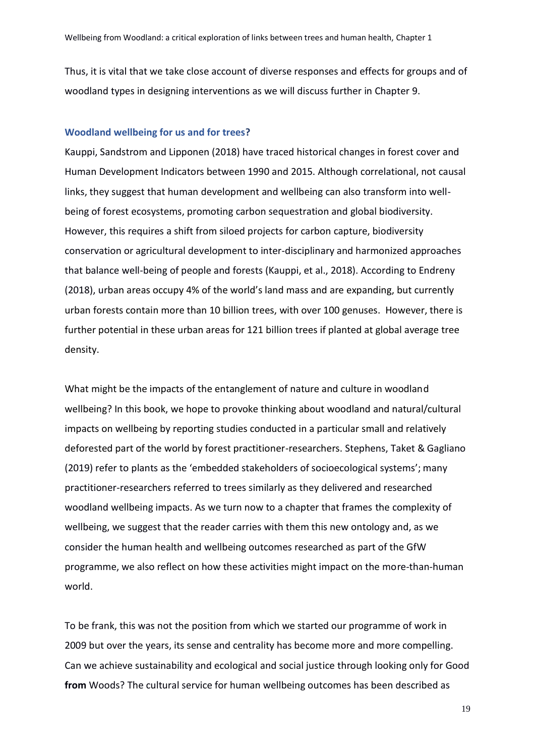Thus, it is vital that we take close account of diverse responses and effects for groups and of woodland types in designing interventions as we will discuss further in Chapter 9.

## **Woodland wellbeing for us and for trees?**

Kauppi, Sandstrom and Lipponen (2018) have traced historical changes in forest cover and Human Development Indicators between 1990 and 2015. Although correlational, not causal links, they suggest that human development and wellbeing can also transform into wellbeing of forest ecosystems, promoting carbon sequestration and global biodiversity. However, this requires a shift from siloed projects for carbon capture, biodiversity conservation or agricultural development to inter-disciplinary and harmonized approaches that balance well-being of people and forests (Kauppi, et al., 2018). According to Endreny (2018), urban areas occupy 4% of the world's land mass and are expanding, but currently urban forests contain more than 10 billion trees, with over 100 genuses. However, there is further potential in these urban areas for 121 billion trees if planted at global average tree density.

What might be the impacts of the entanglement of nature and culture in woodland wellbeing? In this book, we hope to provoke thinking about woodland and natural/cultural impacts on wellbeing by reporting studies conducted in a particular small and relatively deforested part of the world by forest practitioner-researchers. Stephens, Taket & Gagliano (2019) refer to plants as the 'embedded stakeholders of socioecological systems'; many practitioner-researchers referred to trees similarly as they delivered and researched woodland wellbeing impacts. As we turn now to a chapter that frames the complexity of wellbeing, we suggest that the reader carries with them this new ontology and, as we consider the human health and wellbeing outcomes researched as part of the GfW programme, we also reflect on how these activities might impact on the more-than-human world.

To be frank, this was not the position from which we started our programme of work in 2009 but over the years, its sense and centrality has become more and more compelling. Can we achieve sustainability and ecological and social justice through looking only for Good **from** Woods? The cultural service for human wellbeing outcomes has been described as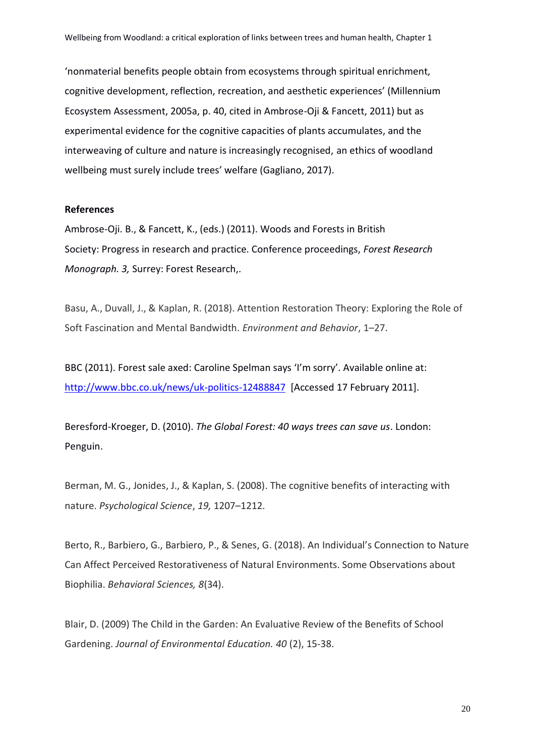'nonmaterial benefits people obtain from ecosystems through spiritual enrichment, cognitive development, reflection, recreation, and aesthetic experiences' (Millennium Ecosystem Assessment, 2005a, p. 40, cited in Ambrose-Oji & Fancett, 2011) but as experimental evidence for the cognitive capacities of plants accumulates, and the interweaving of culture and nature is increasingly recognised, an ethics of woodland wellbeing must surely include trees' welfare (Gagliano, 2017).

## **References**

Ambrose-Oji. B., & Fancett, K., (eds.) (2011). Woods and Forests in British Society: Progress in research and practice. Conference proceedings, *Forest Research Monograph. 3,* Surrey: Forest Research,.

Basu, A., Duvall, J., & Kaplan, R. (2018). Attention Restoration Theory: Exploring the Role of Soft Fascination and Mental Bandwidth. *Environment and Behavior*, 1–27.

BBC (2011). Forest sale axed: Caroline Spelman says 'I'm sorry'. Available online at: <http://www.bbc.co.uk/news/uk-politics-12488847>[Accessed 17 February 2011].

Beresford-Kroeger, D. (2010). *The Global Forest: 40 ways trees can save us*. London: Penguin.

Berman, M. G., Jonides, J., & Kaplan, S. (2008). The cognitive benefits of interacting with nature. *Psychological Science*, *19,* 1207–1212.

Berto, R., Barbiero, G., Barbiero, P., & Senes, G. (2018). An Individual's Connection to Nature Can Affect Perceived Restorativeness of Natural Environments. Some Observations about Biophilia. *Behavioral Sciences, 8*(34).

Blair, D. (2009) The Child in the Garden: An Evaluative Review of the Benefits of School Gardening. *Journal of Environmental Education. 40* (2), 15-38.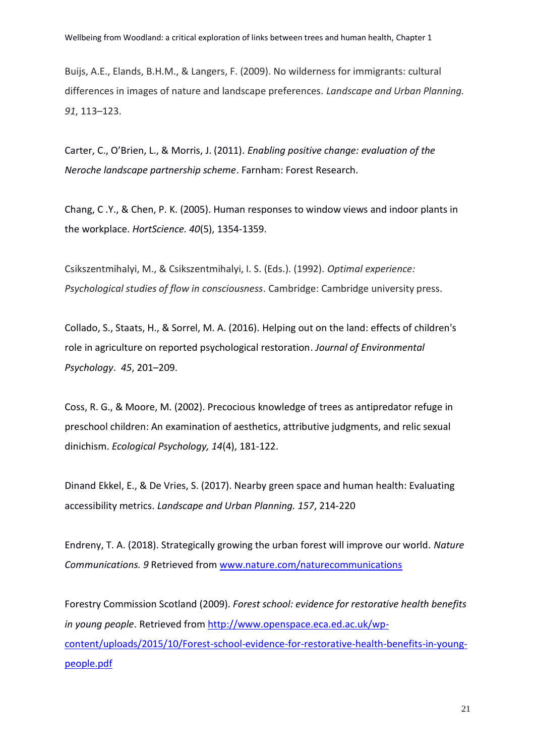Buijs, A.E., Elands, B.H.M., & Langers, F. (2009). No wilderness for immigrants: cultural differences in images of nature and landscape preferences. *Landscape and Urban Planning. 91*, 113–123.

Carter, C., O'Brien, L., & Morris, J. (2011). *Enabling positive change: evaluation of the Neroche landscape partnership scheme*. Farnham: Forest Research.

Chang, C .Y., & Chen, P. K. (2005). Human responses to window views and indoor plants in the workplace. *HortScience. 40*(5), 1354-1359.

Csikszentmihalyi, M., & Csikszentmihalyi, I. S. (Eds.). (1992). *Optimal experience: Psychological studies of flow in consciousness*. Cambridge: Cambridge university press.

Collado, S., Staats, H., & Sorrel, M. A. (2016). Helping out on the land: effects of children's role in agriculture on reported psychological restoration. *Journal of Environmental Psychology*. *45*, 201–209.

Coss, R. G., & Moore, M. (2002). Precocious knowledge of trees as antipredator refuge in preschool children: An examination of aesthetics, attributive judgments, and relic sexual dinichism. *Ecological Psychology, 14*(4), 181-122.

Dinand Ekkel, E., & De Vries, S. (2017). Nearby green space and human health: Evaluating accessibility metrics. *Landscape and Urban Planning. 157*, 214-220

Endreny, T. A. (2018). Strategically growing the urban forest will improve our world. *Nature Communications. 9* Retrieved from [www.nature.com/naturecommunications](http://www.nature.com/naturecommunications)

Forestry Commission Scotland (2009). *Forest school: evidence for restorative health benefits in young people*. Retrieved from [http://www.openspace.eca.ed.ac.uk/wp](http://www.openspace.eca.ed.ac.uk/wp-content/uploads/2015/10/Forest-school-evidence-for-restorative-health-benefits-in-young-people.pdf)[content/uploads/2015/10/Forest-school-evidence-for-restorative-health-benefits-in-young](http://www.openspace.eca.ed.ac.uk/wp-content/uploads/2015/10/Forest-school-evidence-for-restorative-health-benefits-in-young-people.pdf)[people.pdf](http://www.openspace.eca.ed.ac.uk/wp-content/uploads/2015/10/Forest-school-evidence-for-restorative-health-benefits-in-young-people.pdf)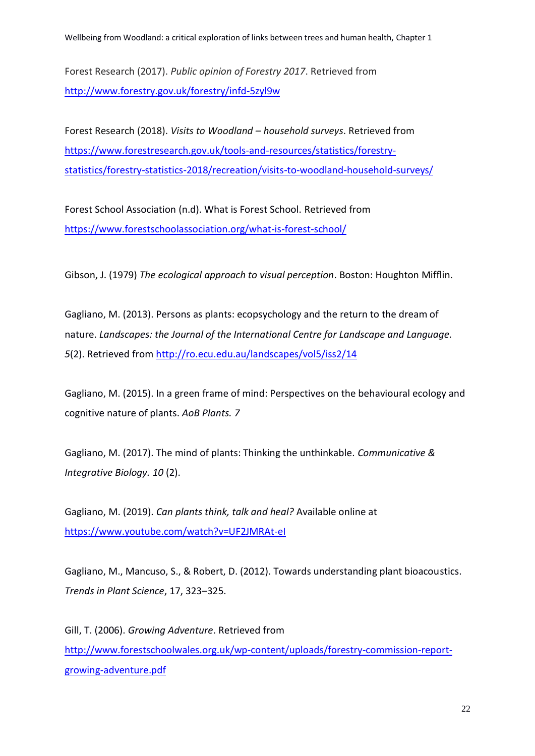Forest Research (2017). *Public opinion of Forestry 2017*. Retrieved from <http://www.forestry.gov.uk/forestry/infd-5zyl9w>

Forest Research (2018). *Visits to Woodland – household surveys*. Retrieved from [https://www.forestresearch.gov.uk/tools-and-resources/statistics/forestry](https://www.forestresearch.gov.uk/tools-and-resources/statistics/forestry-statistics/forestry-statistics-2018/recreation/visits-to-woodland-household-surveys/)[statistics/forestry-statistics-2018/recreation/visits-to-woodland-household-surveys/](https://www.forestresearch.gov.uk/tools-and-resources/statistics/forestry-statistics/forestry-statistics-2018/recreation/visits-to-woodland-household-surveys/)

Forest School Association (n.d). What is Forest School. Retrieved from <https://www.forestschoolassociation.org/what-is-forest-school/>

Gibson, J. (1979) *The ecological approach to visual perception*. Boston: Houghton Mifflin.

Gagliano, M. (2013). Persons as plants: ecopsychology and the return to the dream of nature. *Landscapes: the Journal of the International Centre for Landscape and Language. 5*(2). Retrieved from<http://ro.ecu.edu.au/landscapes/vol5/iss2/14>

Gagliano, M. (2015). In a green frame of mind: Perspectives on the behavioural ecology and cognitive nature of plants. *AoB Plants. 7*

Gagliano, M. (2017). The mind of plants: Thinking the unthinkable. *Communicative & Integrative Biology. 10* (2).

Gagliano, M. (2019). *Can plants think, talk and heal?* Available online at <https://www.youtube.com/watch?v=UF2JMRAt-eI>

Gagliano, M., Mancuso, S., & Robert, D. (2012). Towards understanding plant bioacoustics. *Trends in Plant Science*, 17, 323–325.

Gill, T. (2006). *Growing Adventure*. Retrieved from [http://www.forestschoolwales.org.uk/wp-content/uploads/forestry-commission-report](http://www.forestschoolwales.org.uk/wp-content/uploads/forestry-commission-report-growing-adventure.pdf)[growing-adventure.pdf](http://www.forestschoolwales.org.uk/wp-content/uploads/forestry-commission-report-growing-adventure.pdf)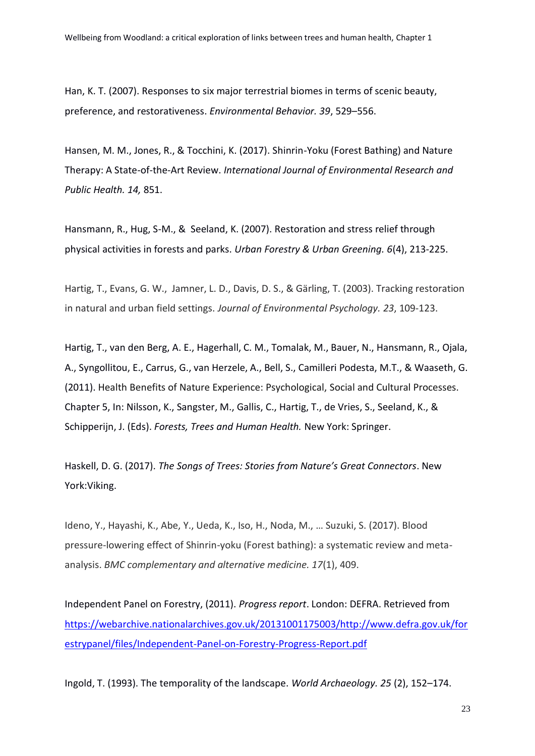Han, K. T. (2007). Responses to six major terrestrial biomes in terms of scenic beauty, preference, and restorativeness. *Environmental Behavior. 39*, 529–556.

Hansen, M. M., Jones, R., & Tocchini, K. (2017). Shinrin-Yoku (Forest Bathing) and Nature Therapy: A State-of-the-Art Review. *International Journal of Environmental Research and Public Health. 14,* 851.

Hansmann, R., Hug, S-M., & Seeland, K. (2007). Restoration and stress relief through physical activities in forests and parks. *Urban Forestry & Urban Greening. 6*(4), 213-225.

Hartig, T., Evans, G. W., Jamner, L. D., Davis, D. S., & Gärling, T. (2003). Tracking restoration in natural and urban field settings. *Journal of Environmental Psychology. 23*, 109-123.

Hartig, T., van den Berg, A. E., Hagerhall, C. M., Tomalak, M., Bauer, N., Hansmann, R., Ojala, A., Syngollitou, E., Carrus, G., van Herzele, A., Bell, S., Camilleri Podesta, M.T., & Waaseth, G. (2011). Health Benefits of Nature Experience: Psychological, Social and Cultural Processes. Chapter 5, In: Nilsson, K., Sangster, M., Gallis, C., Hartig, T., de Vries, S., Seeland, K., & Schipperijn, J. (Eds). *Forests, Trees and Human Health.* New York: Springer.

Haskell, D. G. (2017). *The Songs of Trees: Stories from Nature's Great Connectors*. New York:Viking.

Ideno, Y., Hayashi, K., Abe, Y., Ueda, K., Iso, H., Noda, M., … Suzuki, S. (2017). Blood pressure-lowering effect of Shinrin-yoku (Forest bathing): a systematic review and metaanalysis. *BMC complementary and alternative medicine. 17*(1), 409.

Independent Panel on Forestry, (2011). *Progress report*. London: DEFRA. Retrieved from [https://webarchive.nationalarchives.gov.uk/20131001175003/http://www.defra.gov.uk/for](https://webarchive.nationalarchives.gov.uk/20131001175003/http:/www.defra.gov.uk/forestrypanel/files/Independent-Panel-on-Forestry-Progress-Report.pdf) [estrypanel/files/Independent-Panel-on-Forestry-Progress-Report.pdf](https://webarchive.nationalarchives.gov.uk/20131001175003/http:/www.defra.gov.uk/forestrypanel/files/Independent-Panel-on-Forestry-Progress-Report.pdf)

Ingold, T. (1993). The temporality of the landscape. *World Archaeology. 25* (2), 152–174.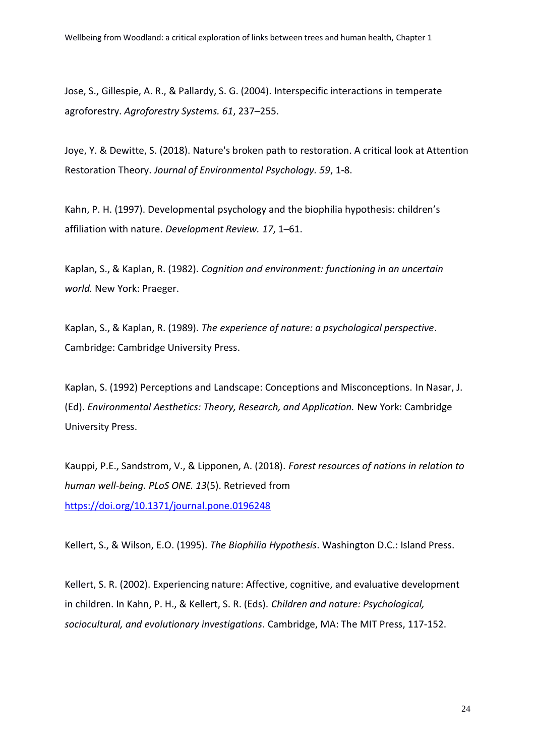Jose, S., Gillespie, A. R., & Pallardy, S. G. (2004). Interspecific interactions in temperate agroforestry. *Agroforestry Systems. 61*, 237–255.

Joye, Y. & Dewitte, S. (2018). Nature's broken path to restoration. A critical look at Attention Restoration Theory. *Journal of Environmental Psychology. 59*, 1-8.

Kahn, P. H. (1997). Developmental psychology and the biophilia hypothesis: children's affiliation with nature. *Development Review. 17*, 1–61.

Kaplan, S., & Kaplan, R. (1982). *Cognition and environment: functioning in an uncertain world.* New York: Praeger.

Kaplan, S., & Kaplan, R. (1989). *The experience of nature: a psychological perspective*. Cambridge: Cambridge University Press.

Kaplan, S. (1992) Perceptions and Landscape: Conceptions and Misconceptions. In Nasar, J. (Ed). *Environmental Aesthetics: Theory, Research, and Application.* New York: Cambridge University Press.

Kauppi, P.E., Sandstrom, V., & Lipponen, A. (2018). *Forest resources of nations in relation to human well-being. PLoS ONE. 13*(5). Retrieved from <https://doi.org/10.1371/journal.pone.0196248>

Kellert, S., & Wilson, E.O. (1995). *The Biophilia Hypothesis*. Washington D.C.: Island Press.

Kellert, S. R. (2002). Experiencing nature: Affective, cognitive, and evaluative development in children. In Kahn, P. H., & Kellert, S. R. (Eds). *Children and nature: Psychological, sociocultural, and evolutionary investigations*. Cambridge, MA: The MIT Press, 117-152.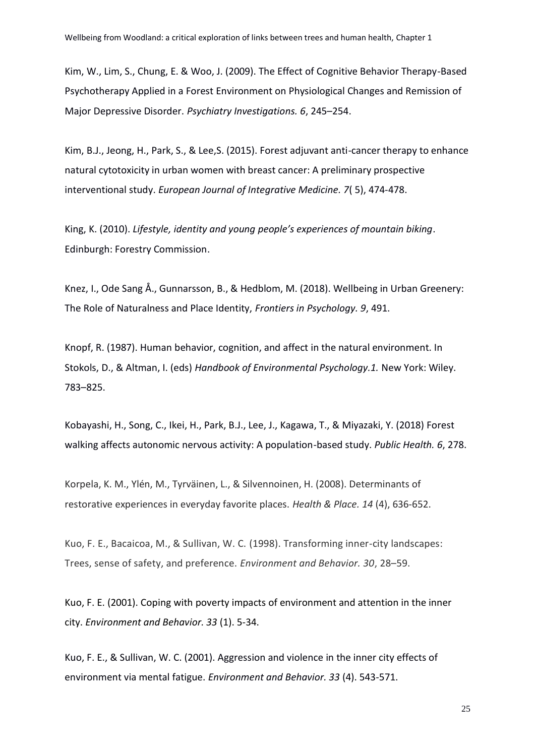Kim, W., Lim, S., Chung, E. & Woo, J. (2009). The Effect of Cognitive Behavior Therapy-Based Psychotherapy Applied in a Forest Environment on Physiological Changes and Remission of Major Depressive Disorder. *Psychiatry Investigations. 6*, 245–254.

Kim, B.J., Jeong, H., Park, S., & Lee,S. (2015). Forest adjuvant anti-cancer therapy to enhance natural cytotoxicity in urban women with breast cancer: A preliminary prospective interventional study. *European Journal of Integrative Medicine. 7*( 5), 474-478.

King, K. (2010). *Lifestyle, identity and young people's experiences of mountain biking*. Edinburgh: Forestry Commission.

Knez, I., Ode Sang Å., Gunnarsson, B., & Hedblom, M. (2018). Wellbeing in Urban Greenery: The Role of Naturalness and Place Identity, *Frontiers in Psychology. 9*, 491.

Knopf, R. (1987). Human behavior, cognition, and affect in the natural environment. In Stokols, D., & Altman, I. (eds) *Handbook of Environmental Psychology.1.* New York: Wiley. 783–825.

Kobayashi, H., Song, C., Ikei, H., Park, B.J., Lee, J., Kagawa, T., & Miyazaki, Y. (2018) Forest walking affects autonomic nervous activity: A population-based study. *Public Health. 6*, 278.

Korpela, K. M., Ylén, M., Tyrväinen, L., & Silvennoinen, H. (2008). Determinants of restorative experiences in everyday favorite places. *Health & Place. 14* (4), 636-652.

Kuo, F. E., Bacaicoa, M., & Sullivan, W. C. (1998). Transforming inner-city landscapes: Trees, sense of safety, and preference. *Environment and Behavior. 30*, 28–59.

Kuo, F. E. (2001). Coping with poverty impacts of environment and attention in the inner city. *Environment and Behavior. 33* (1). 5-34.

Kuo, F. E., & Sullivan, W. C. (2001). Aggression and violence in the inner city effects of environment via mental fatigue. *Environment and Behavior. 33* (4). 543-571.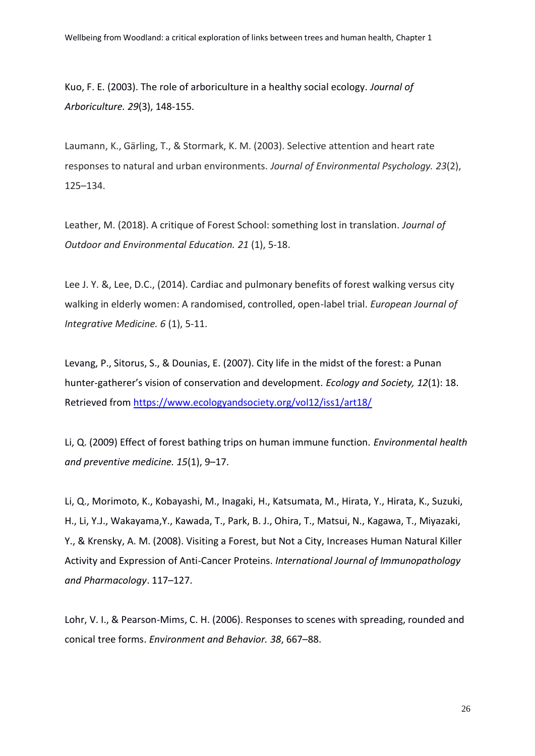Kuo, F. E. (2003). The role of arboriculture in a healthy social ecology. *Journal of Arboriculture. 29*(3), 148-155.

Laumann, K., Gärling, T., & Stormark, K. M. (2003). Selective attention and heart rate responses to natural and urban environments. *Journal of Environmental Psychology. 23*(2), 125–134.

Leather, M. (2018). A critique of Forest School: something lost in translation. *Journal of Outdoor and Environmental Education. 21* (1), 5-18.

Lee J. Y. &, Lee, D.C., (2014). Cardiac and pulmonary benefits of forest walking versus city walking in elderly women: A randomised, controlled, open-label trial. *European Journal of Integrative Medicine. 6* (1), 5-11.

Levang, P., Sitorus, S., & Dounias, E. (2007). City life in the midst of the forest: a Punan hunter-gatherer's vision of conservation and development. *Ecology and Society, 12*(1): 18. Retrieved from<https://www.ecologyandsociety.org/vol12/iss1/art18/>

Li, Q. (2009) Effect of forest bathing trips on human immune function. *Environmental health and preventive medicine. 15*(1), 9–17.

Li, Q., Morimoto, K., Kobayashi, M., Inagaki, H., Katsumata, M., Hirata, Y., Hirata, K., Suzuki, H., Li, Y.J., Wakayama,Y., Kawada, T., Park, B. J., Ohira, T., Matsui, N., Kagawa, T., Miyazaki, Y., & Krensky, A. M. (2008). Visiting a Forest, but Not a City, Increases Human Natural Killer Activity and Expression of Anti-Cancer Proteins. *International Journal of Immunopathology and Pharmacology*. 117–127.

Lohr, V. I., & Pearson-Mims, C. H. (2006). Responses to scenes with spreading, rounded and conical tree forms. *Environment and Behavior. 38*, 667–88.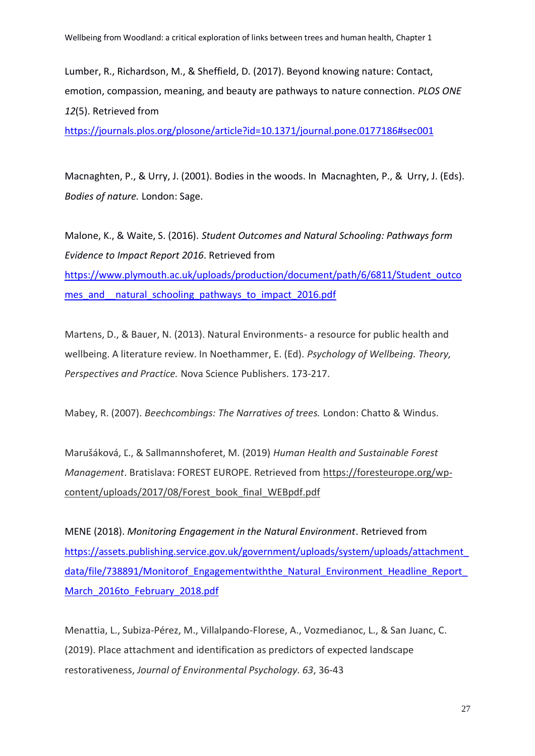Lumber, R., Richardson, M., & Sheffield, D. (2017). Beyond knowing nature: Contact, emotion, compassion, meaning, and beauty are pathways to nature connection. *PLOS ONE 12*(5). Retrieved from

<https://journals.plos.org/plosone/article?id=10.1371/journal.pone.0177186#sec001>

Macnaghten, P., & Urry, J. (2001). Bodies in the woods. In Macnaghten, P., & Urry, J. (Eds). *Bodies of nature.* London: Sage.

Malone, K., & Waite, S. (2016). *Student Outcomes and Natural Schooling: Pathways form Evidence to Impact Report 2016*. Retrieved from [https://www.plymouth.ac.uk/uploads/production/document/path/6/6811/Student\\_outco](https://www.plymouth.ac.uk/uploads/production/document/path/6/6811/Student_outcomes_and__natural_schooling_pathways_to_impact_2016.pdf) mes and natural schooling pathways to impact 2016.pdf

Martens, D., & Bauer, N. (2013). Natural Environments- a resource for public health and wellbeing. A literature review. In Noethammer, E. (Ed). *Psychology of Wellbeing. Theory, Perspectives and Practice.* Nova Science Publishers. 173-217.

Mabey, R. (2007). *Beechcombings: The Narratives of trees.* London: Chatto & Windus.

Marušáková, Ľ., & Sallmannshoferet, M. (2019) *Human Health and Sustainable Forest Management*. Bratislava: FOREST EUROPE. Retrieved from [https://foresteurope.org/wp](https://foresteurope.org/wp-content/uploads/2017/08/Forest_book_final_WEBpdf.pdf)[content/uploads/2017/08/Forest\\_book\\_final\\_WEBpdf.pdf](https://foresteurope.org/wp-content/uploads/2017/08/Forest_book_final_WEBpdf.pdf)

MENE (2018). *Monitoring Engagement in the Natural Environment*. Retrieved from [https://assets.publishing.service.gov.uk/government/uploads/system/uploads/attachment\\_](https://assets.publishing.service.gov.uk/government/uploads/system/uploads/attachment_data/file/738891/Monitorof_Engagementwiththe_Natural_Environment_Headline_Report_March_2016to_February_2018.pdf) data/file/738891/Monitorof Engagementwiththe Natural Environment Headline Report March 2016to February 2018.pdf

Menattia, L., Subiza-Pérez, M., Villalpando-Florese, A., Vozmedianoc, L., & San Juanc, C. (2019). Place attachment and identification as predictors of expected landscape restorativeness, *Journal of Environmental Psychology. 63*, 36-43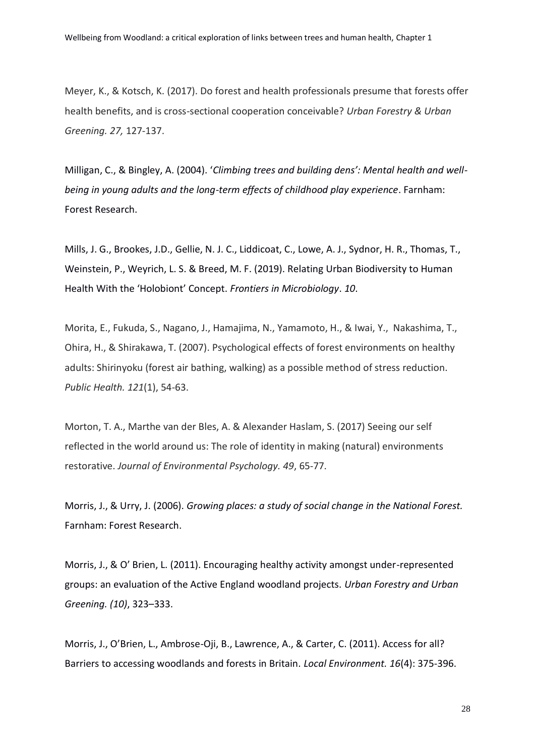Meyer, K., & Kotsch, K. (2017). Do forest and health professionals presume that forests offer health benefits, and is cross-sectional cooperation conceivable? *Urban Forestry & Urban Greening. 27,* 127-137.

Milligan, C., & Bingley, A. (2004). '*Climbing trees and building dens': Mental health and wellbeing in young adults and the long-term effects of childhood play experience*. Farnham: Forest Research.

Mills, J. G., Brookes, J.D., Gellie, N. J. C., Liddicoat, C., Lowe, A. J., Sydnor, H. R., Thomas, T., Weinstein, P., Weyrich, L. S. & Breed, M. F. (2019). Relating Urban Biodiversity to Human Health With the 'Holobiont' Concept. *Frontiers in Microbiology*. *10*.

Morita, E., Fukuda, S., Nagano, J., Hamajima, N., Yamamoto, H., & Iwai, Y., Nakashima, T., Ohira, H., & Shirakawa, T. (2007). Psychological effects of forest environments on healthy adults: Shirinyoku (forest air bathing, walking) as a possible method of stress reduction. *Public Health. 121*(1), 54-63.

Morton, T. A., Marthe van der Bles, A. & Alexander Haslam, S. (2017) Seeing our self reflected in the world around us: The role of identity in making (natural) environments restorative. *Journal of Environmental Psychology. 49*, 65-77.

Morris, J., & Urry, J. (2006). *Growing places: a study of social change in the National Forest.*  Farnham: Forest Research.

Morris, J., & O' Brien, L. (2011). Encouraging healthy activity amongst under-represented groups: an evaluation of the Active England woodland projects. *Urban Forestry and Urban Greening. (10)*, 323–333.

Morris, J., O'Brien, L., Ambrose-Oji, B., Lawrence, A., & Carter, C. (2011). Access for all? Barriers to accessing woodlands and forests in Britain. *Local Environment. 16*(4): 375-396.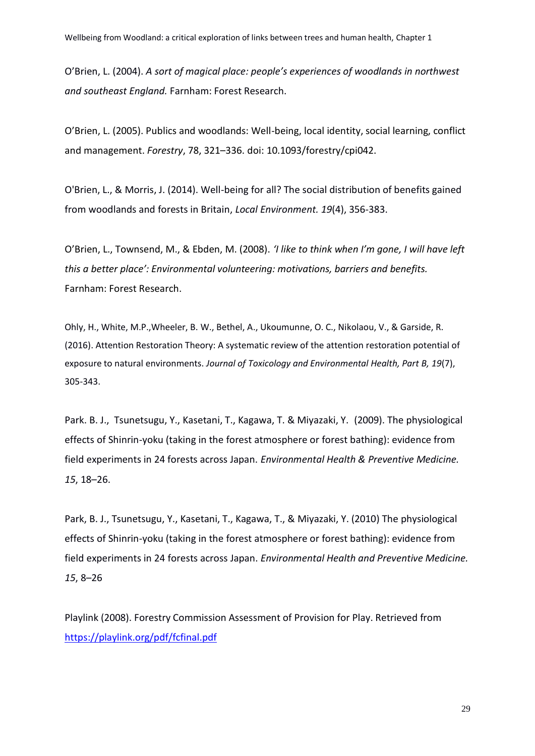O'Brien, L. (2004). *A sort of magical place: people's experiences of woodlands in northwest and southeast England.* Farnham: Forest Research.

O'Brien, L. (2005). Publics and woodlands: Well-being, local identity, social learning, conflict and management. *Forestry*, 78, 321–336. doi: 10.1093/forestry/cpi042.

O'Brien, L., & Morris, J. (2014). Well-being for all? The social distribution of benefits gained from woodlands and forests in Britain, *Local Environment. 19*(4), 356-383.

O'Brien, L., Townsend, M., & Ebden, M. (2008). *'I like to think when I'm gone, I will have left this a better place': Environmental volunteering: motivations, barriers and benefits.* Farnham: Forest Research.

Ohly, H., White, M.P.,Wheeler, B. W., Bethel, A., Ukoumunne, O. C., Nikolaou, V., & Garside, R. (2016). Attention Restoration Theory: A systematic review of the attention restoration potential of exposure to natural environments. *Journal of Toxicology and Environmental Health, Part B, 19*(7), 305-343.

Park. B. J., Tsunetsugu, Y., Kasetani, T., Kagawa, T. & Miyazaki, Y. (2009). The physiological effects of Shinrin-yoku (taking in the forest atmosphere or forest bathing): evidence from field experiments in 24 forests across Japan. *Environmental Health & Preventive Medicine. 15*, 18–26.

Park, B. J., Tsunetsugu, Y., Kasetani, T., Kagawa, T., & Miyazaki, Y. (2010) The physiological effects of Shinrin-yoku (taking in the forest atmosphere or forest bathing): evidence from field experiments in 24 forests across Japan. *Environmental Health and Preventive Medicine. 15*, 8–26

Playlink (2008). Forestry Commission Assessment of Provision for Play. Retrieved from <https://playlink.org/pdf/fcfinal.pdf>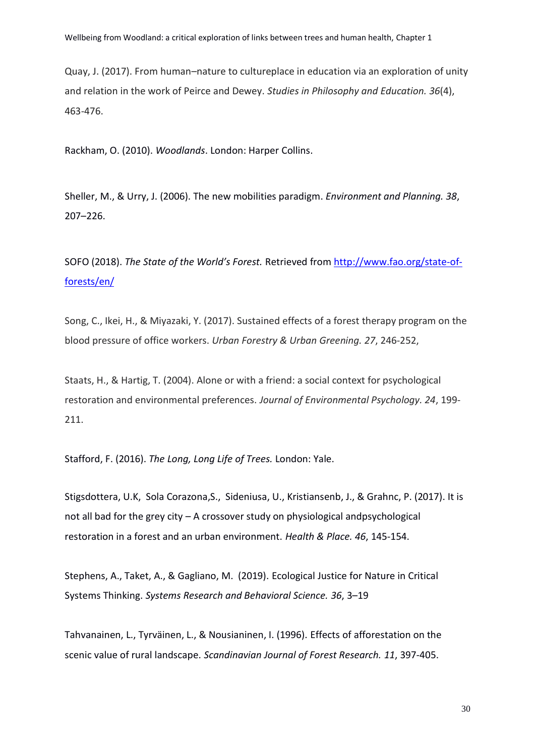Quay, J. (2017). From human–nature to cultureplace in education via an exploration of unity and relation in the work of Peirce and Dewey. *Studies in Philosophy and Education. 36*(4), 463-476.

Rackham, O. (2010). *Woodlands*. London: Harper Collins.

Sheller, M., & Urry, J. (2006). The new mobilities paradigm. *Environment and Planning. 38*, 207–226.

SOFO (2018). *The State of the World's Forest.* Retrieved from [http://www.fao.org/state-of](http://www.fao.org/state-of-forests/en/)[forests/en/](http://www.fao.org/state-of-forests/en/)

Song, C., Ikei, H., & Miyazaki, Y. (2017). Sustained effects of a forest therapy program on the blood pressure of office workers. *Urban Forestry & Urban Greening. 27*, 246-252,

Staats, H., & Hartig, T. (2004). Alone or with a friend: a social context for psychological restoration and environmental preferences. *Journal of Environmental Psychology. 24*, 199- 211.

Stafford, F. (2016). *The Long, Long Life of Trees.* London: Yale.

Stigsdottera, U.K, Sola Corazona,S., Sideniusa, U., Kristiansenb, J., & Grahnc, P. (2017). It is not all bad for the grey city – A crossover study on physiological andpsychological restoration in a forest and an urban environment. *Health & Place. 46*, 145-154.

Stephens, A., Taket, A., & Gagliano, M. (2019). Ecological Justice for Nature in Critical Systems Thinking. *Systems Research and Behavioral Science. 36*, 3–19

Tahvanainen, L., Tyrväinen, L., & Nousianinen, I. (1996). Effects of afforestation on the scenic value of rural landscape. *Scandinavian Journal of Forest Research. 11*, 397-405.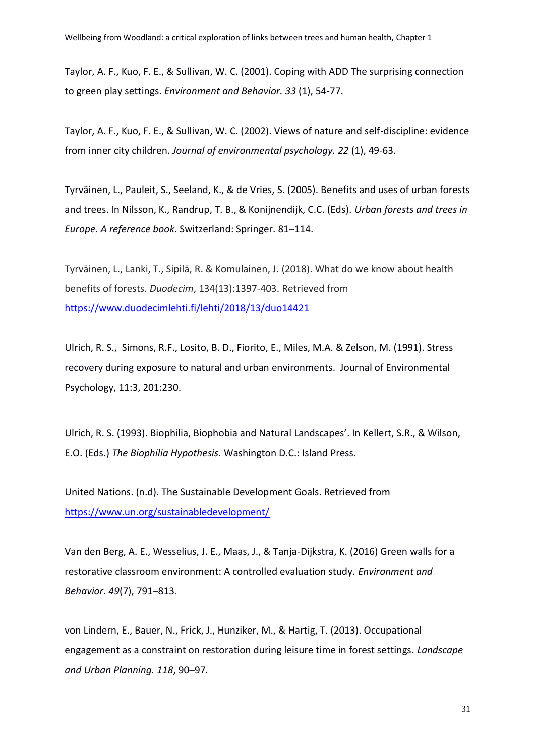Taylor, A. F., Kuo, F. E., & Sullivan, W. C. (2001). Coping with ADD The surprising connection to green play settings. *Environment and Behavior. 33* (1), 54-77.

Taylor, A. F., Kuo, F. E., & Sullivan, W. C. (2002). Views of nature and self-discipline: evidence from inner city children. *Journal of environmental psychology. 22* (1), 49-63.

Tyrväinen, L., Pauleit, S., Seeland, K., & de Vries, S. (2005). Benefits and uses of urban forests and trees. In Nilsson, K., Randrup, T. B., & Konijnendijk, C.C. (Eds). *Urban forests and trees in Europe. A reference book*. Switzerland: Springer. 81–114.

Tyrväinen, L., Lanki, T., Sipilä, R. & Komulainen, J. (2018). What do we know about health benefits of forests. *Duodecim*, 134(13):1397-403. Retrieved from <https://www.duodecimlehti.fi/lehti/2018/13/duo14421>

Ulrich, R. S., Simons, R.F., Losito, B. D., Fiorito, E., Miles, M.A. & Zelson, M. (1991). Stress recovery during exposure to natural and urban environments. Journal of Environmental Psychology, 11:3, 201:230.

Ulrich, R. S. (1993). Biophilia, Biophobia and Natural Landscapes'. In Kellert, S.R., & Wilson, E.O. (Eds.) *The Biophilia Hypothesis*. Washington D.C.: Island Press.

United Nations. (n.d). The Sustainable Development Goals. Retrieved from <https://www.un.org/sustainabledevelopment/>

Van den Berg, A. E., Wesselius, J. E., Maas, J., & Tanja-Dijkstra, K. (2016) Green walls for a restorative classroom environment: A controlled evaluation study. *Environment and Behavior. 49*(7), 791–813.

von Lindern, E., Bauer, N., Frick, J., Hunziker, M., & Hartig, T. (2013). Occupational engagement as a constraint on restoration during leisure time in forest settings*. Landscape and Urban Planning. 118*, 90–97.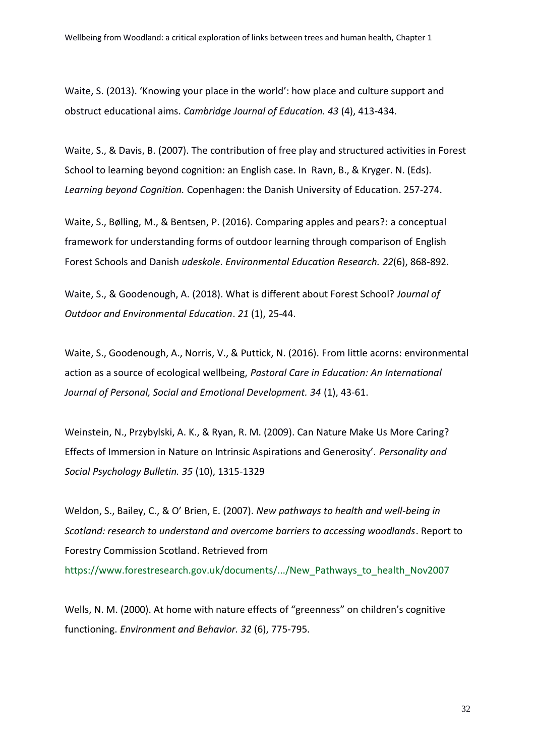Waite, S. (2013). 'Knowing your place in the world': how place and culture support and obstruct educational aims. *Cambridge Journal of Education. 43* (4), 413-434.

Waite, S., & Davis, B. (2007). The contribution of free play and structured activities in Forest School to learning beyond cognition: an English case. In Ravn, B., & Kryger. N. (Eds). *Learning beyond Cognition.* Copenhagen: the Danish University of Education. 257-274.

Waite, S., Bølling, M., & Bentsen, P. (2016). Comparing apples and pears?: a conceptual framework for understanding forms of outdoor learning through comparison of English Forest Schools and Danish *udeskole. Environmental Education Research. 22*(6), 868-892.

Waite, S., & Goodenough, A. (2018). What is different about Forest School? *Journal of Outdoor and Environmental Education*. *21* (1), 25-44.

Waite, S., Goodenough, A., Norris, V., & Puttick, N. (2016). From little acorns: environmental action as a source of ecological wellbeing, *Pastoral Care in Education: An International Journal of Personal, Social and Emotional Development. 34* (1), 43-61.

Weinstein, N., Przybylski, A. K., & Ryan, R. M. (2009). Can Nature Make Us More Caring? Effects of Immersion in Nature on Intrinsic Aspirations and Generosity'. *Personality and Social Psychology Bulletin. 35* (10), 1315-1329

Weldon, S., Bailey, C., & O' Brien, E. (2007). *New pathways to health and well-being in Scotland: research to understand and overcome barriers to accessing woodlands*. Report to Forestry Commission Scotland. Retrieved from [https://www.forestresearch.gov.uk/documents/.../New\\_Pathways\\_to\\_health\\_Nov2007](https://www.forestresearch.gov.uk/documents/.../New_Pathways_to_health_Nov2007)

Wells, N. M. (2000). At home with nature effects of "greenness" on children's cognitive functioning. *Environment and Behavior. 32* (6), 775-795.